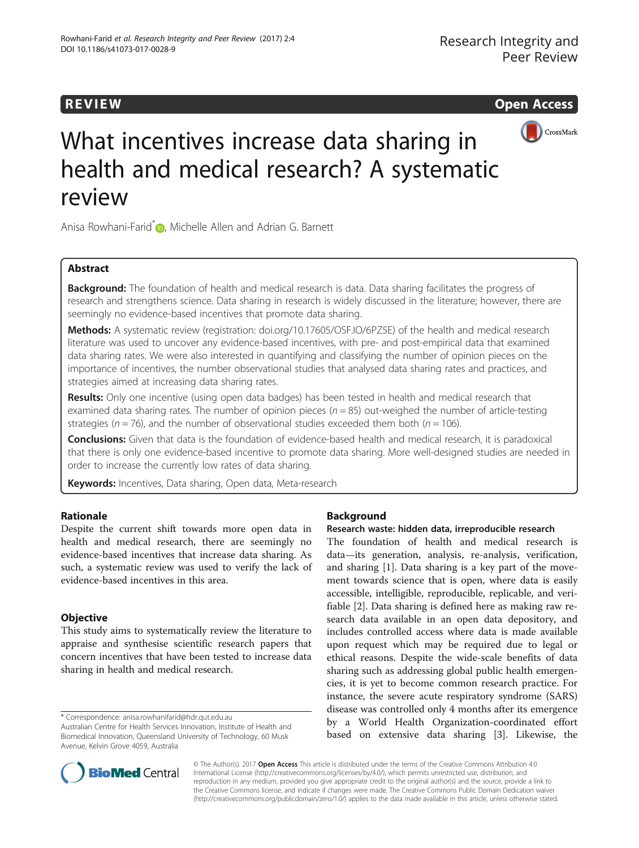



# What incentives increase data sharing in health and medical research? A systematic review

Anisa Rowhani-Farid<sup>\*</sup> <sub>(D</sub>[,](http://orcid.org/0000-0003-3637-2423) Michelle Allen and Adrian G. Barnett

# Abstract

Background: The foundation of health and medical research is data. Data sharing facilitates the progress of research and strengthens science. Data sharing in research is widely discussed in the literature; however, there are seemingly no evidence-based incentives that promote data sharing.

Methods: A systematic review (registration: [doi.org/10.17605/OSF.IO/6PZ5E\)](http://dx.doi.org/10.17605/OSF.IO/6PZ5E) of the health and medical research literature was used to uncover any evidence-based incentives, with pre- and post-empirical data that examined data sharing rates. We were also interested in quantifying and classifying the number of opinion pieces on the importance of incentives, the number observational studies that analysed data sharing rates and practices, and strategies aimed at increasing data sharing rates.

Results: Only one incentive (using open data badges) has been tested in health and medical research that examined data sharing rates. The number of opinion pieces ( $n = 85$ ) out-weighed the number of article-testing strategies ( $n = 76$ ), and the number of observational studies exceeded them both ( $n = 106$ ).

Conclusions: Given that data is the foundation of evidence-based health and medical research, it is paradoxical that there is only one evidence-based incentive to promote data sharing. More well-designed studies are needed in order to increase the currently low rates of data sharing.

Keywords: Incentives, Data sharing, Open data, Meta-research

# Rationale

Despite the current shift towards more open data in health and medical research, there are seemingly no evidence-based incentives that increase data sharing. As such, a systematic review was used to verify the lack of evidence-based incentives in this area.

# **Objective**

This study aims to systematically review the literature to appraise and synthesise scientific research papers that concern incentives that have been tested to increase data sharing in health and medical research.

\* Correspondence: [anisa.rowhanifarid@hdr.qut.edu.au](mailto:anisa.rowhanifarid@hdr.qut.edu.au)

# Background

# Research waste: hidden data, irreproducible research

The foundation of health and medical research is data—its generation, analysis, re-analysis, verification, and sharing [[1\]](#page-7-0). Data sharing is a key part of the movement towards science that is open, where data is easily accessible, intelligible, reproducible, replicable, and verifiable [[2\]](#page-7-0). Data sharing is defined here as making raw research data available in an open data depository, and includes controlled access where data is made available upon request which may be required due to legal or ethical reasons. Despite the wide-scale benefits of data sharing such as addressing global public health emergencies, it is yet to become common research practice. For instance, the severe acute respiratory syndrome (SARS) disease was controlled only 4 months after its emergence by a World Health Organization-coordinated effort based on extensive data sharing [\[3](#page-7-0)]. Likewise, the



© The Author(s). 2017 **Open Access** This article is distributed under the terms of the Creative Commons Attribution 4.0 International License [\(http://creativecommons.org/licenses/by/4.0/](http://creativecommons.org/licenses/by/4.0/)), which permits unrestricted use, distribution, and reproduction in any medium, provided you give appropriate credit to the original author(s) and the source, provide a link to the Creative Commons license, and indicate if changes were made. The Creative Commons Public Domain Dedication waiver [\(http://creativecommons.org/publicdomain/zero/1.0/](http://creativecommons.org/publicdomain/zero/1.0/)) applies to the data made available in this article, unless otherwise stated.

Australian Centre for Health Services Innovation, Institute of Health and Biomedical Innovation, Queensland University of Technology, 60 Musk Avenue, Kelvin Grove 4059, Australia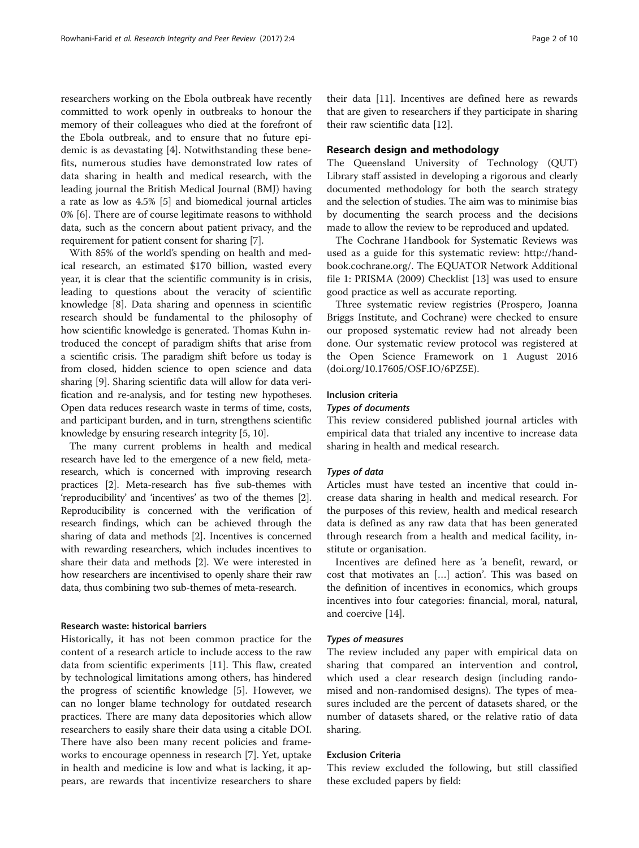researchers working on the Ebola outbreak have recently committed to work openly in outbreaks to honour the memory of their colleagues who died at the forefront of the Ebola outbreak, and to ensure that no future epidemic is as devastating [\[4](#page-7-0)]. Notwithstanding these benefits, numerous studies have demonstrated low rates of data sharing in health and medical research, with the leading journal the British Medical Journal (BMJ) having a rate as low as 4.5% [[5\]](#page-7-0) and biomedical journal articles 0% [\[6](#page-7-0)]. There are of course legitimate reasons to withhold data, such as the concern about patient privacy, and the requirement for patient consent for sharing [[7\]](#page-7-0).

With 85% of the world's spending on health and medical research, an estimated \$170 billion, wasted every year, it is clear that the scientific community is in crisis, leading to questions about the veracity of scientific knowledge [[8\]](#page-7-0). Data sharing and openness in scientific research should be fundamental to the philosophy of how scientific knowledge is generated. Thomas Kuhn introduced the concept of paradigm shifts that arise from a scientific crisis. The paradigm shift before us today is from closed, hidden science to open science and data sharing [\[9\]](#page-7-0). Sharing scientific data will allow for data verification and re-analysis, and for testing new hypotheses. Open data reduces research waste in terms of time, costs, and participant burden, and in turn, strengthens scientific knowledge by ensuring research integrity [\[5](#page-7-0), [10](#page-8-0)].

The many current problems in health and medical research have led to the emergence of a new field, metaresearch, which is concerned with improving research practices [\[2\]](#page-7-0). Meta-research has five sub-themes with 'reproducibility' and 'incentives' as two of the themes [[2](#page-7-0)]. Reproducibility is concerned with the verification of research findings, which can be achieved through the sharing of data and methods [[2](#page-7-0)]. Incentives is concerned with rewarding researchers, which includes incentives to share their data and methods [\[2\]](#page-7-0). We were interested in how researchers are incentivised to openly share their raw data, thus combining two sub-themes of meta-research.

# Research waste: historical barriers

Historically, it has not been common practice for the content of a research article to include access to the raw data from scientific experiments [[11\]](#page-8-0). This flaw, created by technological limitations among others, has hindered the progress of scientific knowledge [[5\]](#page-7-0). However, we can no longer blame technology for outdated research practices. There are many data depositories which allow researchers to easily share their data using a citable DOI. There have also been many recent policies and frameworks to encourage openness in research [\[7](#page-7-0)]. Yet, uptake in health and medicine is low and what is lacking, it appears, are rewards that incentivize researchers to share their data [[11](#page-8-0)]. Incentives are defined here as rewards that are given to researchers if they participate in sharing their raw scientific data [[12\]](#page-8-0).

# Research design and methodology

The Queensland University of Technology (QUT) Library staff assisted in developing a rigorous and clearly documented methodology for both the search strategy and the selection of studies. The aim was to minimise bias by documenting the search process and the decisions made to allow the review to be reproduced and updated.

The Cochrane Handbook for Systematic Reviews was used as a guide for this systematic review: [http://hand](http://handbook.cochrane.org/)[book.cochrane.org/](http://handbook.cochrane.org/). The EQUATOR Network Additional file [1](#page-7-0): PRISMA (2009) Checklist [\[13](#page-8-0)] was used to ensure good practice as well as accurate reporting.

Three systematic review registries (Prospero, Joanna Briggs Institute, and Cochrane) were checked to ensure our proposed systematic review had not already been done. Our systematic review protocol was registered at the Open Science Framework on 1 August 2016 ([doi.org/10.17605/OSF.IO/6PZ5E\)](http://dx.doi.org/10.17605/OSF.IO/6PZ5E).

#### Inclusion criteria

#### Types of documents

This review considered published journal articles with empirical data that trialed any incentive to increase data sharing in health and medical research.

#### Types of data

Articles must have tested an incentive that could increase data sharing in health and medical research. For the purposes of this review, health and medical research data is defined as any raw data that has been generated through research from a health and medical facility, institute or organisation.

Incentives are defined here as 'a benefit, reward, or cost that motivates an […] action'. This was based on the definition of incentives in economics, which groups incentives into four categories: financial, moral, natural, and coercive [\[14](#page-8-0)].

#### Types of measures

The review included any paper with empirical data on sharing that compared an intervention and control, which used a clear research design (including randomised and non-randomised designs). The types of measures included are the percent of datasets shared, or the number of datasets shared, or the relative ratio of data sharing.

# Exclusion Criteria

This review excluded the following, but still classified these excluded papers by field: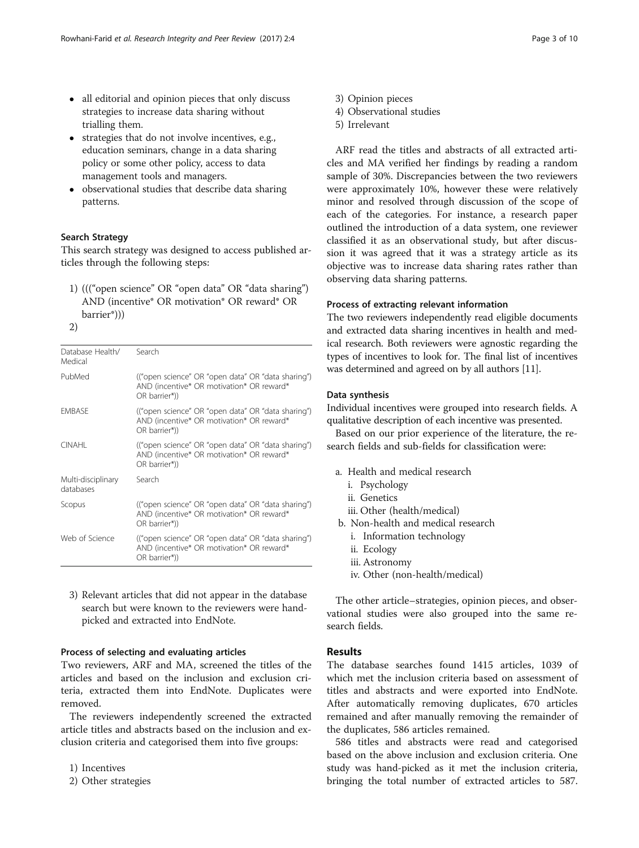- all editorial and opinion pieces that only discuss strategies to increase data sharing without trialling them.
- strategies that do not involve incentives, e.g., education seminars, change in a data sharing policy or some other policy, access to data management tools and managers.
- observational studies that describe data sharing patterns.

#### Search Strategy

This search strategy was designed to access published articles through the following steps:

- 1) ((("open science" OR "open data" OR "data sharing") AND (incentive\* OR motivation\* OR reward\* OR barrier\*)))
- 2)

| Database Health/<br>Medical     | Search                                                                                                          |
|---------------------------------|-----------------------------------------------------------------------------------------------------------------|
| PubMed                          | ("open science" OR "open data" OR "data sharing")<br>AND (incentive* OR motivation* OR reward*<br>OR barrier*)) |
| <b>EMBASE</b>                   | ("open science" OR "open data" OR "data sharing")<br>AND (incentive* OR motivation* OR reward*<br>OR barrier*)) |
| <b>CINAHI</b>                   | ("open science" OR "open data" OR "data sharing")<br>AND (incentive* OR motivation* OR reward*<br>OR barrier*)) |
| Multi-disciplinary<br>databases | Search                                                                                                          |
| Scopus                          | ("open science" OR "open data" OR "data sharing")<br>AND (incentive* OR motivation* OR reward*<br>OR barrier*)) |
| Web of Science                  | ("open science" OR "open data" OR "data sharing")<br>AND (incentive* OR motivation* OR reward*<br>OR barrier*)) |
|                                 |                                                                                                                 |

3) Relevant articles that did not appear in the database search but were known to the reviewers were handpicked and extracted into EndNote.

## Process of selecting and evaluating articles

Two reviewers, ARF and MA, screened the titles of the articles and based on the inclusion and exclusion criteria, extracted them into EndNote. Duplicates were removed.

The reviewers independently screened the extracted article titles and abstracts based on the inclusion and exclusion criteria and categorised them into five groups:

1) Incentives

2) Other strategies

- 3) Opinion pieces
- 4) Observational studies
- 5) Irrelevant

ARF read the titles and abstracts of all extracted articles and MA verified her findings by reading a random sample of 30%. Discrepancies between the two reviewers were approximately 10%, however these were relatively minor and resolved through discussion of the scope of each of the categories. For instance, a research paper outlined the introduction of a data system, one reviewer classified it as an observational study, but after discussion it was agreed that it was a strategy article as its objective was to increase data sharing rates rather than observing data sharing patterns.

# Process of extracting relevant information

The two reviewers independently read eligible documents and extracted data sharing incentives in health and medical research. Both reviewers were agnostic regarding the types of incentives to look for. The final list of incentives was determined and agreed on by all authors [[11](#page-8-0)].

#### Data synthesis

Individual incentives were grouped into research fields. A qualitative description of each incentive was presented.

Based on our prior experience of the literature, the research fields and sub-fields for classification were:

- a. Health and medical research
	- i. Psychology
	- ii. Genetics
	- iii. Other (health/medical)
- b. Non-health and medical research
	- i. Information technology
	- ii. Ecology
	- iii. Astronomy
	- iv. Other (non-health/medical)

The other article–strategies, opinion pieces, and observational studies were also grouped into the same research fields.

# **Results**

The database searches found 1415 articles, 1039 of which met the inclusion criteria based on assessment of titles and abstracts and were exported into EndNote. After automatically removing duplicates, 670 articles remained and after manually removing the remainder of the duplicates, 586 articles remained.

586 titles and abstracts were read and categorised based on the above inclusion and exclusion criteria. One study was hand-picked as it met the inclusion criteria, bringing the total number of extracted articles to 587.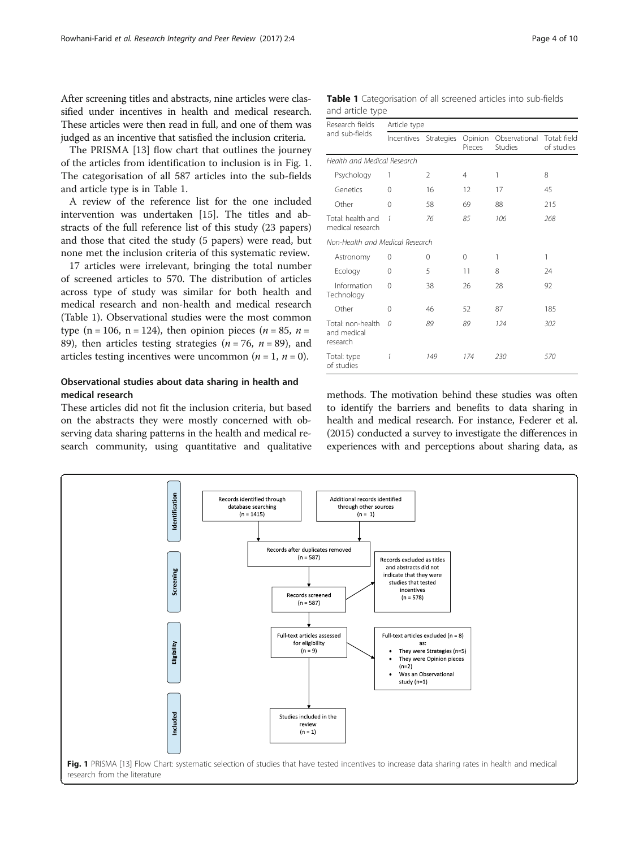After screening titles and abstracts, nine articles were classified under incentives in health and medical research. These articles were then read in full, and one of them was judged as an incentive that satisfied the inclusion criteria.

The PRISMA [[13\]](#page-8-0) flow chart that outlines the journey of the articles from identification to inclusion is in Fig. 1. The categorisation of all 587 articles into the sub-fields and article type is in Table 1.

A review of the reference list for the one included intervention was undertaken [[15](#page-8-0)]. The titles and abstracts of the full reference list of this study (23 papers) and those that cited the study (5 papers) were read, but none met the inclusion criteria of this systematic review.

17 articles were irrelevant, bringing the total number of screened articles to 570. The distribution of articles across type of study was similar for both health and medical research and non-health and medical research (Table 1). Observational studies were the most common type (n = 106, n = 124), then opinion pieces ( $n = 85$ ,  $n =$ 89), then articles testing strategies ( $n = 76$ ,  $n = 89$ ), and articles testing incentives were uncommon ( $n = 1$ ,  $n = 0$ ).

# Observational studies about data sharing in health and medical research

These articles did not fit the inclusion criteria, but based on the abstracts they were mostly concerned with observing data sharing patterns in the health and medical research community, using quantitative and qualitative

|                  | Table 1 Categorisation of all screened articles into sub-fields |  |  |  |
|------------------|-----------------------------------------------------------------|--|--|--|
| and article type |                                                                 |  |  |  |

| Research fields                              | Article type |                       |                   |                                 |                            |  |
|----------------------------------------------|--------------|-----------------------|-------------------|---------------------------------|----------------------------|--|
| and sub-fields                               |              | Incentives Strategies | Opinion<br>Pieces | Observational<br><b>Studies</b> | Total: field<br>of studies |  |
| Health and Medical Research                  |              |                       |                   |                                 |                            |  |
| Psychology                                   | 1            | 2                     | 4                 | 1                               | 8                          |  |
| Genetics                                     | 0            | 16                    | 12                | 17                              | 45                         |  |
| Other                                        | 0            | 58                    | 69                | 88                              | 215                        |  |
| Total: health and<br>medical research        | 1            | 76                    | 85                | 106                             | 268                        |  |
| Non-Health and Medical Research              |              |                       |                   |                                 |                            |  |
| Astronomy                                    | 0            | $\Omega$              | 0                 | 1                               | 1                          |  |
| Ecology                                      | 0            | 5                     | 11                | 8                               | 24                         |  |
| Information<br>Technology                    | 0            | 38                    | 26                | 28                              | 92                         |  |
| Other                                        | 0            | 46                    | 52                | 87                              | 185                        |  |
| Total: non-health<br>and medical<br>research | n            | 89                    | 89                | 124                             | 302                        |  |
| Total: type<br>of studies                    | 1            | 149                   | 174               | 230                             | 570                        |  |

methods. The motivation behind these studies was often to identify the barriers and benefits to data sharing in health and medical research. For instance, Federer et al. (2015) conducted a survey to investigate the differences in experiences with and perceptions about sharing data, as

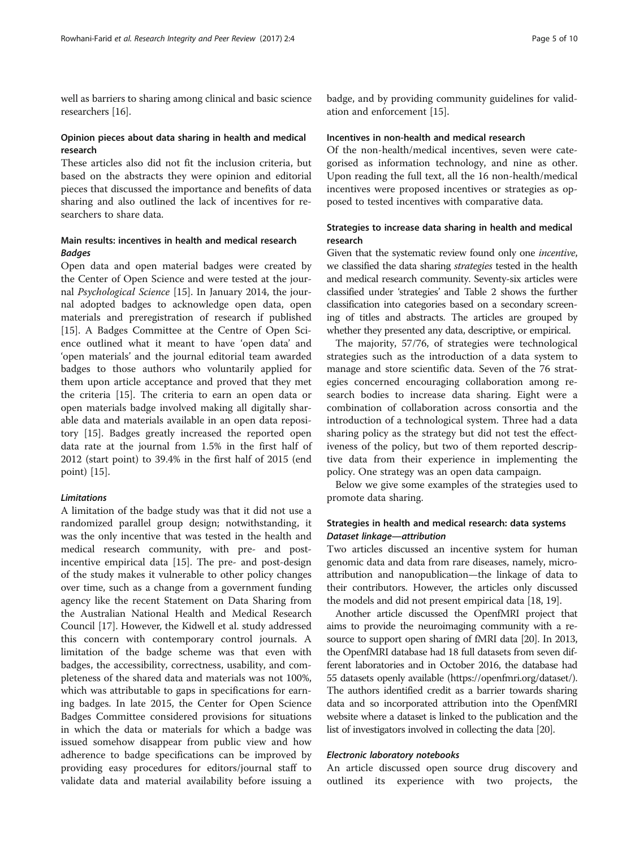well as barriers to sharing among clinical and basic science researchers [\[16\]](#page-8-0).

# Opinion pieces about data sharing in health and medical research

These articles also did not fit the inclusion criteria, but based on the abstracts they were opinion and editorial pieces that discussed the importance and benefits of data sharing and also outlined the lack of incentives for researchers to share data.

# Main results: incentives in health and medical research Badges

Open data and open material badges were created by the Center of Open Science and were tested at the journal Psychological Science [[15\]](#page-8-0). In January 2014, the journal adopted badges to acknowledge open data, open materials and preregistration of research if published [[15\]](#page-8-0). A Badges Committee at the Centre of Open Science outlined what it meant to have 'open data' and 'open materials' and the journal editorial team awarded badges to those authors who voluntarily applied for them upon article acceptance and proved that they met the criteria [[15\]](#page-8-0). The criteria to earn an open data or open materials badge involved making all digitally sharable data and materials available in an open data repository [[15](#page-8-0)]. Badges greatly increased the reported open data rate at the journal from 1.5% in the first half of 2012 (start point) to 39.4% in the first half of 2015 (end point) [\[15](#page-8-0)].

# Limitations

A limitation of the badge study was that it did not use a randomized parallel group design; notwithstanding, it was the only incentive that was tested in the health and medical research community, with pre- and postincentive empirical data [\[15\]](#page-8-0). The pre- and post-design of the study makes it vulnerable to other policy changes over time, such as a change from a government funding agency like the recent Statement on Data Sharing from the Australian National Health and Medical Research Council [[17\]](#page-8-0). However, the Kidwell et al. study addressed this concern with contemporary control journals. A limitation of the badge scheme was that even with badges, the accessibility, correctness, usability, and completeness of the shared data and materials was not 100%, which was attributable to gaps in specifications for earning badges. In late 2015, the Center for Open Science Badges Committee considered provisions for situations in which the data or materials for which a badge was issued somehow disappear from public view and how adherence to badge specifications can be improved by providing easy procedures for editors/journal staff to validate data and material availability before issuing a

badge, and by providing community guidelines for validation and enforcement [[15\]](#page-8-0).

#### Incentives in non-health and medical research

Of the non-health/medical incentives, seven were categorised as information technology, and nine as other. Upon reading the full text, all the 16 non-health/medical incentives were proposed incentives or strategies as opposed to tested incentives with comparative data.

# Strategies to increase data sharing in health and medical research

Given that the systematic review found only one incentive, we classified the data sharing *strategies* tested in the health and medical research community. Seventy-six articles were classified under 'strategies' and Table [2](#page-5-0) shows the further classification into categories based on a secondary screening of titles and abstracts. The articles are grouped by whether they presented any data, descriptive, or empirical.

The majority, 57/76, of strategies were technological strategies such as the introduction of a data system to manage and store scientific data. Seven of the 76 strategies concerned encouraging collaboration among research bodies to increase data sharing. Eight were a combination of collaboration across consortia and the introduction of a technological system. Three had a data sharing policy as the strategy but did not test the effectiveness of the policy, but two of them reported descriptive data from their experience in implementing the policy. One strategy was an open data campaign.

Below we give some examples of the strategies used to promote data sharing.

# Strategies in health and medical research: data systems Dataset linkage—attribution

Two articles discussed an incentive system for human genomic data and data from rare diseases, namely, microattribution and nanopublication—the linkage of data to their contributors. However, the articles only discussed the models and did not present empirical data [[18](#page-8-0), [19\]](#page-8-0).

Another article discussed the OpenfMRI project that aims to provide the neuroimaging community with a resource to support open sharing of fMRI data [[20](#page-8-0)]. In 2013, the OpenfMRI database had 18 full datasets from seven different laboratories and in October 2016, the database had 55 datasets openly available [\(https://openfmri.org/dataset/](https://openfmri.org/dataset/)). The authors identified credit as a barrier towards sharing data and so incorporated attribution into the OpenfMRI website where a dataset is linked to the publication and the list of investigators involved in collecting the data [\[20\]](#page-8-0).

# Electronic laboratory notebooks

An article discussed open source drug discovery and outlined its experience with two projects, the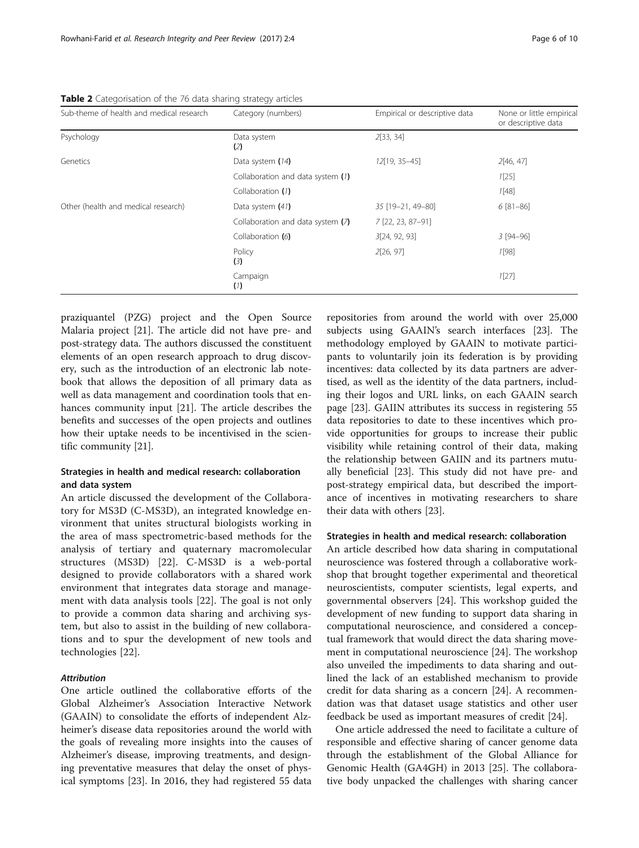| Sub-theme of health and medical research | Category (numbers)                | Empirical or descriptive data | None or little empirical<br>or descriptive data |
|------------------------------------------|-----------------------------------|-------------------------------|-------------------------------------------------|
| Psychology                               | Data system<br>(2)                | 2[33, 34]                     |                                                 |
| Genetics                                 | Data system (14)                  | 12[19, 35-45]                 | 2[46, 47]                                       |
|                                          | Collaboration and data system (1) |                               | 1[25]                                           |
|                                          | Collaboration (1)                 |                               | 1[48]                                           |
| Other (health and medical research)      | Data system $(41)$                | 35 [19-21, 49-80]             | $6[81-86]$                                      |
|                                          | Collaboration and data system (7) | 7 [22, 23, 87-91]             |                                                 |
|                                          | Collaboration (6)                 | 3[24, 92, 93]                 | $3 [94 - 96]$                                   |
|                                          | Policy<br>(3)                     | 2[26, 97]                     | 1[98]                                           |
|                                          | Campaign<br>(1)                   |                               | 1[27]                                           |

<span id="page-5-0"></span>Table 2 Categorisation of the 76 data sharing strategy articles

praziquantel (PZG) project and the Open Source Malaria project [[21\]](#page-8-0). The article did not have pre- and post-strategy data. The authors discussed the constituent elements of an open research approach to drug discovery, such as the introduction of an electronic lab notebook that allows the deposition of all primary data as well as data management and coordination tools that enhances community input [[21\]](#page-8-0). The article describes the benefits and successes of the open projects and outlines how their uptake needs to be incentivised in the scientific community [\[21\]](#page-8-0).

# Strategies in health and medical research: collaboration and data system

An article discussed the development of the Collaboratory for MS3D (C-MS3D), an integrated knowledge environment that unites structural biologists working in the area of mass spectrometric-based methods for the analysis of tertiary and quaternary macromolecular structures (MS3D) [\[22](#page-8-0)]. C-MS3D is a web-portal designed to provide collaborators with a shared work environment that integrates data storage and management with data analysis tools [\[22](#page-8-0)]. The goal is not only to provide a common data sharing and archiving system, but also to assist in the building of new collaborations and to spur the development of new tools and technologies [[22\]](#page-8-0).

# **Attribution**

One article outlined the collaborative efforts of the Global Alzheimer's Association Interactive Network (GAAIN) to consolidate the efforts of independent Alzheimer's disease data repositories around the world with the goals of revealing more insights into the causes of Alzheimer's disease, improving treatments, and designing preventative measures that delay the onset of physical symptoms [\[23](#page-8-0)]. In 2016, they had registered 55 data repositories from around the world with over 25,000 subjects using GAAIN's search interfaces [\[23\]](#page-8-0). The methodology employed by GAAIN to motivate participants to voluntarily join its federation is by providing incentives: data collected by its data partners are advertised, as well as the identity of the data partners, including their logos and URL links, on each GAAIN search page [\[23](#page-8-0)]. GAIIN attributes its success in registering 55 data repositories to date to these incentives which provide opportunities for groups to increase their public visibility while retaining control of their data, making the relationship between GAIIN and its partners mutually beneficial [[23](#page-8-0)]. This study did not have pre- and post-strategy empirical data, but described the importance of incentives in motivating researchers to share their data with others [\[23](#page-8-0)].

#### Strategies in health and medical research: collaboration

An article described how data sharing in computational neuroscience was fostered through a collaborative workshop that brought together experimental and theoretical neuroscientists, computer scientists, legal experts, and governmental observers [\[24\]](#page-8-0). This workshop guided the development of new funding to support data sharing in computational neuroscience, and considered a conceptual framework that would direct the data sharing movement in computational neuroscience [\[24](#page-8-0)]. The workshop also unveiled the impediments to data sharing and outlined the lack of an established mechanism to provide credit for data sharing as a concern [[24](#page-8-0)]. A recommendation was that dataset usage statistics and other user feedback be used as important measures of credit [[24\]](#page-8-0).

One article addressed the need to facilitate a culture of responsible and effective sharing of cancer genome data through the establishment of the Global Alliance for Genomic Health (GA4GH) in 2013 [[25\]](#page-8-0). The collaborative body unpacked the challenges with sharing cancer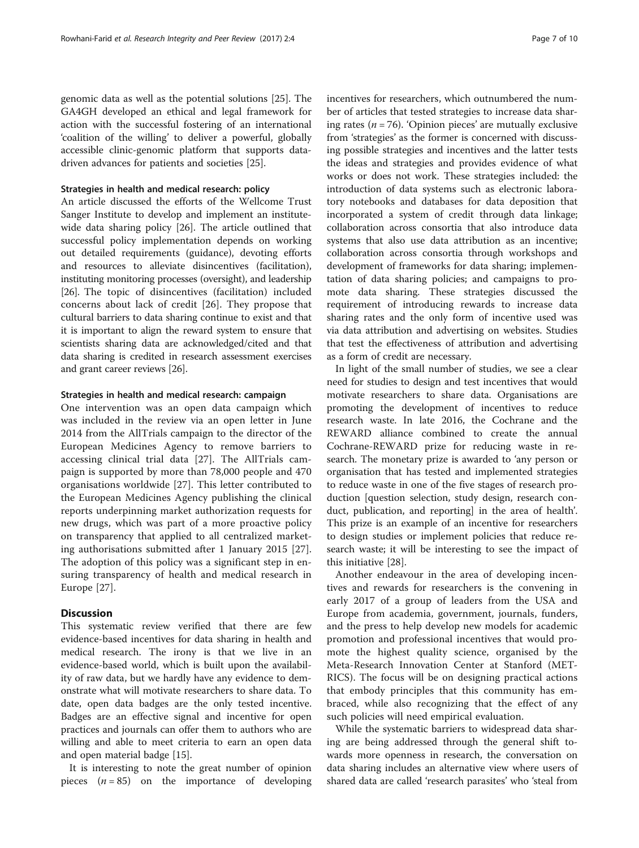genomic data as well as the potential solutions [\[25\]](#page-8-0). The GA4GH developed an ethical and legal framework for action with the successful fostering of an international 'coalition of the willing' to deliver a powerful, globally accessible clinic-genomic platform that supports datadriven advances for patients and societies [[25\]](#page-8-0).

## Strategies in health and medical research: policy

An article discussed the efforts of the Wellcome Trust Sanger Institute to develop and implement an institutewide data sharing policy [\[26](#page-8-0)]. The article outlined that successful policy implementation depends on working out detailed requirements (guidance), devoting efforts and resources to alleviate disincentives (facilitation), instituting monitoring processes (oversight), and leadership [[26](#page-8-0)]. The topic of disincentives (facilitation) included concerns about lack of credit [[26](#page-8-0)]. They propose that cultural barriers to data sharing continue to exist and that it is important to align the reward system to ensure that scientists sharing data are acknowledged/cited and that data sharing is credited in research assessment exercises and grant career reviews [\[26\]](#page-8-0).

#### Strategies in health and medical research: campaign

One intervention was an open data campaign which was included in the review via an open letter in June 2014 from the AllTrials campaign to the director of the European Medicines Agency to remove barriers to accessing clinical trial data [[27\]](#page-8-0). The AllTrials campaign is supported by more than 78,000 people and 470 organisations worldwide [[27\]](#page-8-0). This letter contributed to the European Medicines Agency publishing the clinical reports underpinning market authorization requests for new drugs, which was part of a more proactive policy on transparency that applied to all centralized marketing authorisations submitted after 1 January 2015 [\[27](#page-8-0)]. The adoption of this policy was a significant step in ensuring transparency of health and medical research in Europe [[27\]](#page-8-0).

## **Discussion**

This systematic review verified that there are few evidence-based incentives for data sharing in health and medical research. The irony is that we live in an evidence-based world, which is built upon the availability of raw data, but we hardly have any evidence to demonstrate what will motivate researchers to share data. To date, open data badges are the only tested incentive. Badges are an effective signal and incentive for open practices and journals can offer them to authors who are willing and able to meet criteria to earn an open data and open material badge [[15\]](#page-8-0).

It is interesting to note the great number of opinion pieces  $(n = 85)$  on the importance of developing

incentives for researchers, which outnumbered the number of articles that tested strategies to increase data sharing rates ( $n = 76$ ). 'Opinion pieces' are mutually exclusive from 'strategies' as the former is concerned with discussing possible strategies and incentives and the latter tests the ideas and strategies and provides evidence of what works or does not work. These strategies included: the introduction of data systems such as electronic laboratory notebooks and databases for data deposition that incorporated a system of credit through data linkage; collaboration across consortia that also introduce data systems that also use data attribution as an incentive; collaboration across consortia through workshops and development of frameworks for data sharing; implementation of data sharing policies; and campaigns to promote data sharing. These strategies discussed the requirement of introducing rewards to increase data sharing rates and the only form of incentive used was

as a form of credit are necessary. In light of the small number of studies, we see a clear need for studies to design and test incentives that would motivate researchers to share data. Organisations are promoting the development of incentives to reduce research waste. In late 2016, the Cochrane and the REWARD alliance combined to create the annual Cochrane-REWARD prize for reducing waste in research. The monetary prize is awarded to 'any person or organisation that has tested and implemented strategies to reduce waste in one of the five stages of research production [question selection, study design, research conduct, publication, and reporting] in the area of health'. This prize is an example of an incentive for researchers to design studies or implement policies that reduce research waste; it will be interesting to see the impact of this initiative [[28\]](#page-8-0).

via data attribution and advertising on websites. Studies that test the effectiveness of attribution and advertising

Another endeavour in the area of developing incentives and rewards for researchers is the convening in early 2017 of a group of leaders from the USA and Europe from academia, government, journals, funders, and the press to help develop new models for academic promotion and professional incentives that would promote the highest quality science, organised by the Meta-Research Innovation Center at Stanford (MET-RICS). The focus will be on designing practical actions that embody principles that this community has embraced, while also recognizing that the effect of any such policies will need empirical evaluation.

While the systematic barriers to widespread data sharing are being addressed through the general shift towards more openness in research, the conversation on data sharing includes an alternative view where users of shared data are called 'research parasites' who 'steal from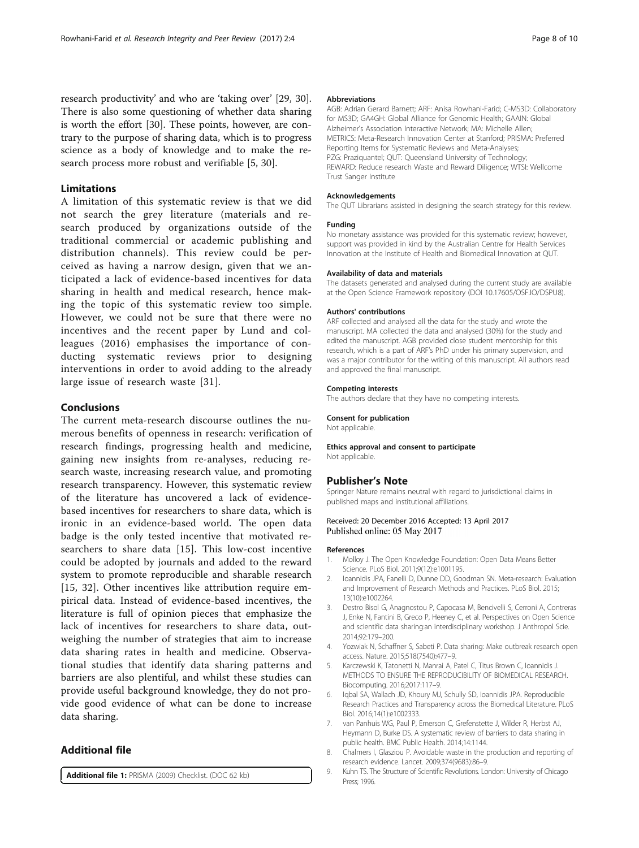<span id="page-7-0"></span>research productivity' and who are 'taking over' [\[29, 30](#page-8-0)]. There is also some questioning of whether data sharing is worth the effort [\[30\]](#page-8-0). These points, however, are contrary to the purpose of sharing data, which is to progress science as a body of knowledge and to make the research process more robust and verifiable [5, [30](#page-8-0)].

# Limitations

A limitation of this systematic review is that we did not search the grey literature (materials and research produced by organizations outside of the traditional commercial or academic publishing and distribution channels). This review could be perceived as having a narrow design, given that we anticipated a lack of evidence-based incentives for data sharing in health and medical research, hence making the topic of this systematic review too simple. However, we could not be sure that there were no incentives and the recent paper by Lund and colleagues (2016) emphasises the importance of conducting systematic reviews prior to designing interventions in order to avoid adding to the already large issue of research waste [[31](#page-8-0)].

# Conclusions

The current meta-research discourse outlines the numerous benefits of openness in research: verification of research findings, progressing health and medicine, gaining new insights from re-analyses, reducing research waste, increasing research value, and promoting research transparency. However, this systematic review of the literature has uncovered a lack of evidencebased incentives for researchers to share data, which is ironic in an evidence-based world. The open data badge is the only tested incentive that motivated researchers to share data [[15\]](#page-8-0). This low-cost incentive could be adopted by journals and added to the reward system to promote reproducible and sharable research [[15](#page-8-0), [32\]](#page-8-0). Other incentives like attribution require empirical data. Instead of evidence-based incentives, the literature is full of opinion pieces that emphasize the lack of incentives for researchers to share data, outweighing the number of strategies that aim to increase data sharing rates in health and medicine. Observational studies that identify data sharing patterns and barriers are also plentiful, and whilst these studies can provide useful background knowledge, they do not provide good evidence of what can be done to increase data sharing.

# Additional file

[Additional file 1:](dx.doi.org/10.1186/s41073-017-0028-9) PRISMA (2009) Checklist. (DOC 62 kb)

## Abbreviations

AGB: Adrian Gerard Barnett; ARF: Anisa Rowhani-Farid; C-MS3D: Collaboratory for MS3D; GA4GH: Global Alliance for Genomic Health; GAAIN: Global Alzheimer's Association Interactive Network; MA: Michelle Allen; METRICS: Meta-Research Innovation Center at Stanford; PRISMA: Preferred Reporting Items for Systematic Reviews and Meta-Analyses; PZG: Praziquantel; QUT: Queensland University of Technology; REWARD: Reduce research Waste and Reward Diligence; WTSI: Wellcome Trust Sanger Institute

#### Acknowledgements

The QUT Librarians assisted in designing the search strategy for this review.

#### Funding

No monetary assistance was provided for this systematic review; however, support was provided in kind by the Australian Centre for Health Services Innovation at the Institute of Health and Biomedical Innovation at QUT.

#### Availability of data and materials

The datasets generated and analysed during the current study are available at the Open Science Framework repository (DOI 10.17605/OSF.IO/DSPU8).

#### Authors' contributions

ARF collected and analysed all the data for the study and wrote the manuscript. MA collected the data and analysed (30%) for the study and edited the manuscript. AGB provided close student mentorship for this research, which is a part of ARF's PhD under his primary supervision, and was a major contributor for the writing of this manuscript. All authors read and approved the final manuscript.

#### Competing interests

The authors declare that they have no competing interests.

#### Consent for publication

Not applicable.

#### Ethics approval and consent to participate Not applicable.

#### Publisher's Note

Springer Nature remains neutral with regard to jurisdictional claims in published maps and institutional affiliations.

#### Received: 20 December 2016 Accepted: 13 April 2017 Published online: 05 May 2017

#### References

- 1. Molloy J. The Open Knowledge Foundation: Open Data Means Better Science. PLoS Biol. 2011;9(12):e1001195.
- 2. Ioannidis JPA, Fanelli D, Dunne DD, Goodman SN. Meta-research: Evaluation and Improvement of Research Methods and Practices. PLoS Biol. 2015; 13(10):e1002264.
- Destro Bisol G, Anagnostou P, Capocasa M, Bencivelli S, Cerroni A, Contreras J, Enke N, Fantini B, Greco P, Heeney C, et al. Perspectives on Open Science and scientific data sharing:an interdisciplinary workshop. J Anthropol Scie. 2014;92:179–200.
- 4. Yozwiak N, Schaffner S, Sabeti P. Data sharing: Make outbreak research open access. Nature. 2015;518(7540):477–9.
- 5. Karczewski K, Tatonetti N, Manrai A, Patel C, Titus Brown C, Ioannidis J. METHODS TO ENSURE THE REPRODUCIBILITY OF BIOMEDICAL RESEARCH. Biocomputing. 2016;2017:117–9.
- Iqbal SA, Wallach JD, Khoury MJ, Schully SD, Ioannidis JPA. Reproducible Research Practices and Transparency across the Biomedical Literature. PLoS Biol. 2016;14(1):e1002333.
- 7. van Panhuis WG, Paul P, Emerson C, Grefenstette J, Wilder R, Herbst AJ, Heymann D, Burke DS. A systematic review of barriers to data sharing in public health. BMC Public Health. 2014;14:1144.
- 8. Chalmers I, Glasziou P. Avoidable waste in the production and reporting of research evidence. Lancet. 2009;374(9683):86–9.
- 9. Kuhn TS. The Structure of Scientific Revolutions. London: University of Chicago Press; 1996.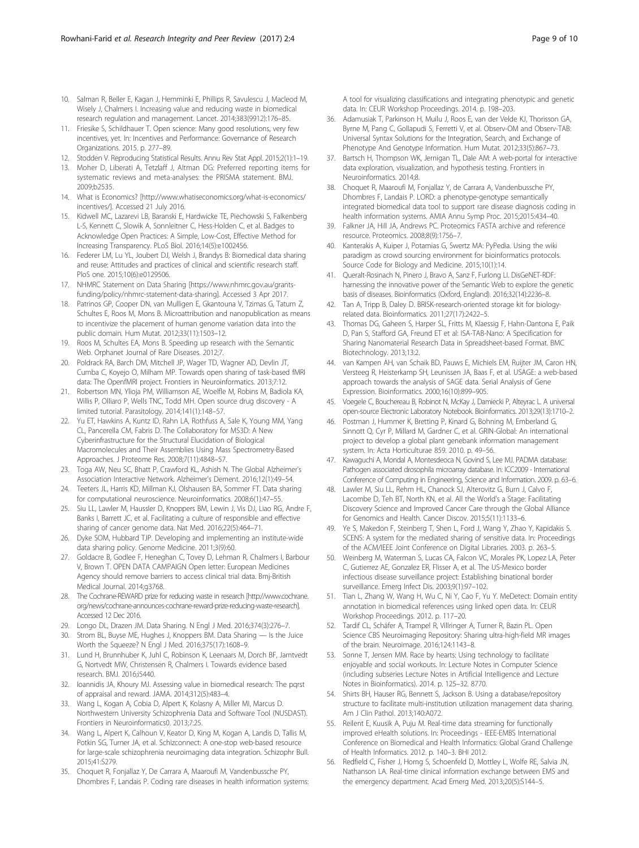- <span id="page-8-0"></span>10. Salman R, Beller E, Kagan J, Hemminki E, Phillips R, Savulescu J, Macleod M, Wisely J, Chalmers I. Increasing value and reducing waste in biomedical research regulation and management. Lancet. 2014;383(9912):176–85.
- 11. Friesike S, Schildhauer T. Open science: Many good resolutions, very few incentives, yet. In: Incentives and Performance: Governance of Research Organizations. 2015. p. 277–89.
- 12. Stodden V. Reproducing Statistical Results. Annu Rev Stat Appl. 2015;2(1):1–19.
- 13. Moher D, Liberati A, Tetzlaff J, Altman DG: Preferred reporting items for systematic reviews and meta-analyses: the PRISMA statement. BMJ. 2009;b2535.
- 14. What is Economics? [\[http://www.whatiseconomics.org/what-is-economics/](http://www.whatiseconomics.org/what-is-economics/incentives/) [incentives/\]](http://www.whatiseconomics.org/what-is-economics/incentives/). Accessed 21 July 2016.
- 15. Kidwell MC, Lazarevi LB, Baranski E, Hardwicke TE, Piechowski S, Falkenberg L-S, Kennett C, Slowik A, Sonnleitner C, Hess-Holden C, et al. Badges to Acknowledge Open Practices: A Simple, Low-Cost, Effective Method for Increasing Transparency. PLoS Biol. 2016;14(5):e1002456.
- 16. Federer LM, Lu YL, Joubert DJ, Welsh J, Brandys B: Biomedical data sharing and reuse: Attitudes and practices of clinical and scientific research staff. PloS one. 2015;10(6):e0129506.
- 17. NHMRC Statement on Data Sharing [[https://www.nhmrc.gov.au/grants](https://www.nhmrc.gov.au/grants-funding/policy/nhmrc-statement-data-sharing)[funding/policy/nhmrc-statement-data-sharing](https://www.nhmrc.gov.au/grants-funding/policy/nhmrc-statement-data-sharing)]. Accessed 3 Apr 2017.
- 18. Patrinos GP, Cooper DN, van Mulligen E, Gkantouna V, Tzimas G, Tatum Z, Schultes E, Roos M, Mons B. Microattribution and nanopublication as means to incentivize the placement of human genome variation data into the public domain. Hum Mutat. 2012;33(11):1503–12.
- 19. Roos M, Schultes EA, Mons B. Speeding up research with the Semantic Web. Orphanet Journal of Rare Diseases. 2012;7.
- 20. Poldrack RA, Barch DM, Mitchell JP, Wager TD, Wagner AD, Devlin JT, Cumba C, Koyejo O, Milham MP. Towards open sharing of task-based fMRI data: The OpenfMRI project. Frontiers in Neuroinformatics. 2013;7:12.
- 21. Robertson MN, Ylioja PM, Williamson AE, Woelfle M, Robins M, Badiola KA, Willis P, Olliaro P, Wells TNC, Todd MH. Open source drug discovery - A limited tutorial. Parasitology. 2014;141(1):148–57.
- 22. Yu ET, Hawkins A, Kuntz ID, Rahn LA, Rothfuss A, Sale K, Young MM, Yang CL, Pancerella CM, Fabris D. The Collaboratory for MS3D: A New Cyberinfrastructure for the Structural Elucidation of Biological Macromolecules and Their Assemblies Using Mass Spectrometry-Based Approaches. J Proteome Res. 2008;7(11):4848–57.
- 23. Toga AW, Neu SC, Bhatt P, Crawford KL, Ashish N. The Global Alzheimer's Association Interactive Network. Alzheimer's Dement. 2016;12(1):49–54.
- 24. Teeters JL, Harris KD, Millman KJ, Olshausen BA, Sommer FT. Data sharing for computational neuroscience. Neuroinformatics. 2008;6(1):47–55.
- 25. Siu LL, Lawler M, Haussler D, Knoppers BM, Lewin J, Vis DJ, Liao RG, Andre F, Banks I, Barrett JC, et al. Facilitating a culture of responsible and effective sharing of cancer genome data. Nat Med. 2016;22(5):464–71.
- 26. Dyke SOM, Hubbard TJP. Developing and implementing an institute-wide data sharing policy. Genome Medicine. 2011;3(9):60.
- 27. Goldacre B, Godlee F, Heneghan C, Tovey D, Lehman R, Chalmers I, Barbour V, Brown T. OPEN DATA CAMPAIGN Open letter: European Medicines Agency should remove barriers to access clinical trial data. Bmj-British Medical Journal. 2014;g3768.
- 28. The Cochrane-REWARD prize for reducing waste in research [\[http://www.cochrane.](http://www.cochrane.org/news/cochrane-announces-cochrane-reward-prize-reducing-waste-research) [org/news/cochrane-announces-cochrane-reward-prize-reducing-waste-research](http://www.cochrane.org/news/cochrane-announces-cochrane-reward-prize-reducing-waste-research)]. Accessed 12 Dec 2016.
- 29. Longo DL, Drazen JM. Data Sharing. N Engl J Med. 2016;374(3):276–7.
- 30. Strom BL, Buyse ME, Hughes J, Knoppers BM. Data Sharing Is the Juice Worth the Squeeze? N Engl J Med. 2016;375(17):1608–9.
- 31. Lund H, Brunnhuber K, Juhl C, Robinson K, Leenaars M, Dorch BF, Jamtvedt G, Nortvedt MW, Christensen R, Chalmers I. Towards evidence based research. BMJ. 2016;i5440.
- 32. Ioannidis JA, Khoury MJ. Assessing value in biomedical research: The pqrst of appraisal and reward. JAMA. 2014;312(5):483–4.
- 33. Wang L, Kogan A, Cobia D, Alpert K, Kolasny A, Miller MI, Marcus D. Northwestern University Schizophrenia Data and Software Tool (NUSDAST). Frontiers in Neuroinformatics0. 2013;7:25.
- 34. Wang L, Alpert K, Calhoun V, Keator D, King M, Kogan A, Landis D, Tallis M, Potkin SG, Turner JA, et al. Schizconnect: A one-stop web-based resource for large-scale schizophrenia neuroimaging data integration. Schizophr Bull. 2015;41:S279.
- 35. Choquet R, Fonjallaz Y, De Carrara A, Maaroufi M, Vandenbussche PY, Dhombres F, Landais P. Coding rare diseases in health information systems:

A tool for visualizing classifications and integrating phenotypic and genetic data. In: CEUR Workshop Proceedings. 2014. p. 198–203.

- 36. Adamusiak T, Parkinson H, Muilu J, Roos E, van der Velde KJ, Thorisson GA, Byrne M, Pang C, Gollapudi S, Ferretti V, et al. Observ-OM and Observ-TAB: Universal Syntax Solutions for the Integration, Search, and Exchange of Phenotype And Genotype Information. Hum Mutat. 2012;33(5):867–73.
- 37. Bartsch H, Thompson WK, Jernigan TL, Dale AM: A web-portal for interactive data exploration, visualization, and hypothesis testing. Frontiers in Neuroinformatics. 2014;8.
- 38. Choquet R, Maaroufi M, Fonjallaz Y, de Carrara A, Vandenbussche PY, Dhombres F, Landais P. LORD: a phenotype-genotype semantically integrated biomedical data tool to support rare disease diagnosis coding in health information systems. AMIA Annu Symp Proc. 2015;2015:434–40.
- 39. Falkner JA, Hill JA, Andrews PC. Proteomics FASTA archive and reference resource. Proteomics. 2008;8(9):1756–7.
- 40. Kanterakis A, Kuiper J, Potamias G, Swertz MA: PyPedia. Using the wiki paradigm as crowd sourcing environment for bioinformatics protocols. Source Code for Biology and Medicine. 2015;10(1):14.
- 41. Queralt-Rosinach N, Pinero J, Bravo A, Sanz F, Furlong LI. DisGeNET-RDF: harnessing the innovative power of the Semantic Web to explore the genetic basis of diseases. Bioinformatics (Oxford, England). 2016;32(14):2236–8.
- 42. Tan A, Tripp B, Daley D. BRISK-research-oriented storage kit for biologyrelated data. Bioinformatics. 2011;27(17):2422–5.
- 43. Thomas DG, Gaheen S, Harper SL, Fritts M, Klaessig F, Hahn-Dantona E, Paik D, Pan S, Stafford GA, Freund ET et al: ISA-TAB-Nano: A Specification for Sharing Nanomaterial Research Data in Spreadsheet-based Format. BMC Biotechnology. 2013;13:2.
- 44. van Kampen AH, van Schaik BD, Pauws E, Michiels EM, Ruijter JM, Caron HN, Versteeg R, Heisterkamp SH, Leunissen JA, Baas F, et al. USAGE: a web-based approach towards the analysis of SAGE data. Serial Analysis of Gene Expression. Bioinformatics. 2000;16(10):899–905.
- 45. Voegele C, Bouchereau B, Robinot N, McKay J, Damiecki P, Alteyrac L. A universal open-source Electronic Laboratory Notebook. Bioinformatics. 2013;29(13):1710–2.
- 46. Postman J, Hummer K, Bretting P, Kinard G, Bohning M, Emberland G, Sinnott Q, Cyr P, Millard M, Gardner C, et al. GRIN-Global: An international project to develop a global plant genebank information management system. In: Acta Horticulturae 859. 2010. p. 49–56.
- 47. Kawaguchi A, Mondal A, Montesdeoca N, Govind S, Lee MJ. PADMA database: Pathogen associated drosophila microarray database. In: ICC2009 - International Conference of Computing in Engineering, Science and Information. 2009. p. 63–6.
- 48. Lawler M, Siu LL, Rehm HL, Chanock SJ, Alterovitz G, Burn J, Calvo F, Lacombe D, Teh BT, North KN, et al. All the World's a Stage: Facilitating Discovery Science and Improved Cancer Care through the Global Alliance for Genomics and Health. Cancer Discov. 2015;5(11):1133–6.
- 49. Ye S, Makedon F, Steinberg T, Shen L, Ford J, Wang Y, Zhao Y, Kapidakis S. SCENS: A system for the mediated sharing of sensitive data. In: Proceedings of the ACM/IEEE Joint Conference on Digital Libraries. 2003. p. 263–5.
- 50. Weinberg M, Waterman S, Lucas CA, Falcon VC, Morales PK, Lopez LA, Peter C, Gutierrez AE, Gonzalez ER, Flisser A, et al. The US-Mexico border infectious disease surveillance project: Establishing binational border surveillance. Emerg Infect Dis. 2003;9(1):97–102.
- 51. Tian L, Zhang W, Wang H, Wu C, Ni Y, Cao F, Yu Y. MeDetect: Domain entity annotation in biomedical references using linked open data. In: CEUR Workshop Proceedings. 2012. p. 117–20.
- 52. Tardif CL, Schäfer A, Trampel R, Villringer A, Turner R, Bazin PL. Open Science CBS Neuroimaging Repository: Sharing ultra-high-field MR images of the brain. Neuroimage. 2016;124:1143–8.
- 53. Sonne T, Jensen MM. Race by hearts: Using technology to facilitate enjoyable and social workouts. In: Lecture Notes in Computer Science (including subseries Lecture Notes in Artificial Intelligence and Lecture Notes in Bioinformatics). 2014. p. 125–32. 8770.
- 54. Shirts BH, Hauser RG, Bennett S, Jackson B. Using a database/repository structure to facilitate multi-institution utilization management data sharing. Am J Clin Pathol. 2013;140:A072.
- 55. Reilent E, Kuusik A, Puju M. Real-time data streaming for functionally improved eHealth solutions. In: Proceedings - IEEE-EMBS International Conference on Biomedical and Health Informatics: Global Grand Challenge of Health Informatics. 2012. p. 140–3. BHI 2012.
- 56. Redfield C, Fisher J, Horng S, Schoenfeld D, Mottley L, Wolfe RE, Salvia JN, Nathanson LA. Real-time clinical information exchange between EMS and the emergency department. Acad Emerg Med. 2013;20(5):S144–5.